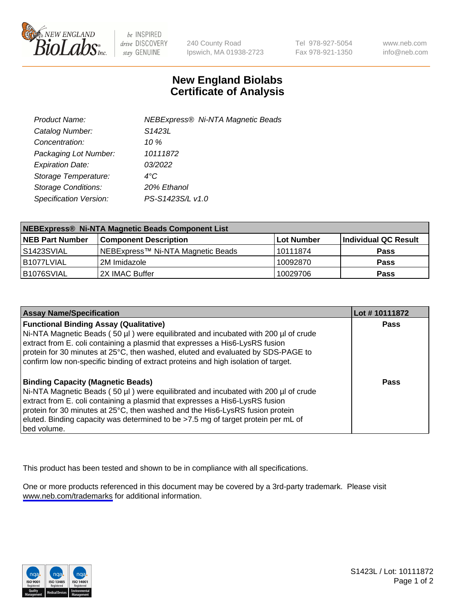

be INSPIRED drive DISCOVERY stay GENUINE

240 County Road Ipswich, MA 01938-2723 Tel 978-927-5054 Fax 978-921-1350

www.neb.com info@neb.com

## **New England Biolabs Certificate of Analysis**

| Product Name:              | <b>NEBExpress® Ni-NTA Magnetic Beads</b> |
|----------------------------|------------------------------------------|
| Catalog Number:            | S <sub>1423</sub> L                      |
| Concentration:             | 10 $\%$                                  |
| Packaging Lot Number:      | 10111872                                 |
| <b>Expiration Date:</b>    | 03/2022                                  |
| Storage Temperature:       | $4^{\circ}$ C                            |
| <b>Storage Conditions:</b> | 20% Ethanol                              |
| Specification Version:     | PS-S1423S/L v1.0                         |
|                            |                                          |

| NEBExpress® Ni-NTA Magnetic Beads Component List |                                   |                   |                      |  |
|--------------------------------------------------|-----------------------------------|-------------------|----------------------|--|
| <b>NEB Part Number</b>                           | <b>Component Description</b>      | <b>Lot Number</b> | Individual QC Result |  |
| l S1423SVIAL                                     | NEBExpress™ Ni-NTA Magnetic Beads | l 10111874        | <b>Pass</b>          |  |
| I B1077LVIAL                                     | l 2M Imidazole.                   | 10092870          | <b>Pass</b>          |  |
| B1076SVIAL                                       | 2X IMAC Buffer                    | 10029706          | <b>Pass</b>          |  |

| <b>Assay Name/Specification</b>                                                                                                                                                                                                                                                                                                                                                                     | Lot #10111872 |
|-----------------------------------------------------------------------------------------------------------------------------------------------------------------------------------------------------------------------------------------------------------------------------------------------------------------------------------------------------------------------------------------------------|---------------|
| <b>Functional Binding Assay (Qualitative)</b><br>Ni-NTA Magnetic Beads (50 µl) were equilibrated and incubated with 200 µl of crude<br>extract from E. coli containing a plasmid that expresses a His6-LysRS fusion<br>protein for 30 minutes at 25°C, then washed, eluted and evaluated by SDS-PAGE to<br>confirm low non-specific binding of extract proteins and high isolation of target.       | <b>Pass</b>   |
| <b>Binding Capacity (Magnetic Beads)</b><br>Ni-NTA Magnetic Beads (50 µl) were equilibrated and incubated with 200 µl of crude<br>extract from E. coli containing a plasmid that expresses a His6-LysRS fusion<br>protein for 30 minutes at 25°C, then washed and the His6-LysRS fusion protein<br>eluted. Binding capacity was determined to be >7.5 mg of target protein per mL of<br>bed volume. | Pass          |

This product has been tested and shown to be in compliance with all specifications.

One or more products referenced in this document may be covered by a 3rd-party trademark. Please visit <www.neb.com/trademarks>for additional information.